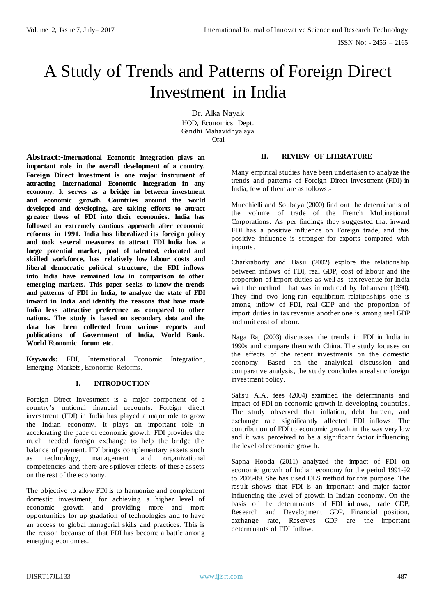# A Study of Trends and Patterns of Foreign Direct Investment in India

Dr. Alka Nayak HOD, Economics Dept. Gandhi Mahavidhyalaya Orai

**Abstract:-International Economic Integration plays an important role in the overall development of a country. Foreign Direct Investment is one major instrument of attracting International Economic Integration in any economy. It serves as a bridge in between investment and economic growth. Countries around the world developed and developing, are taking efforts to attract greater flows of FDI into their economies. India has followed an extremely cautious approach after economic reforms in 1991, India has liberalized its foreign policy and took several measures to attract FDI. India has a large potential market, pool of talented, educated and skilled workforce, has relatively low labour costs and liberal democratic political structure, the FDI inflows into India have remained low in comparison to other emerging markets. This paper seeks to know the trends and patterns of FDI in India, to analyze the state of FDI inward in India and identify the reasons that have made India less attractive preference as compared to other nations. The study is based on secondary data and the data has been collected from various reports and publications of Government of India, World Bank, World Economic forum etc.**

**Keywords:** FDI, International Economic Integration, Emerging Markets, Economic Reforms.

## **I. INTRODUCTION**

Foreign Direct Investment is a major component of a country"s national financial accounts. Foreign direct investment (FDI) in India has played a major role to grow the Indian economy. It plays an important role in accelerating the pace of economic growth. FDI provides the much needed foreign exchange to help the bridge the balance of payment. FDI brings complementary assets such as technology, management and organizational competencies and there are spillover effects of these assets on the rest of the economy.

The objective to allow FDI is to harmonize and complement domestic investment, for achieving a higher level of economic growth and providing more and more opportunities for up gradation of technologies and to have an access to global managerial skills and practices. This is the reason because of that FDI has become a battle among emerging economies.

## **II. REVIEW OF LITERATURE**

Many empirical studies have been undertaken to analyze the trends and patterns of Foreign Direct Investment (FDI) in India, few of them are as follows:-

Mucchielli and Soubaya (2000) find out the determinants of the volume of trade of the French Multinational Corporations. As per findings they suggested that inward FDI has a positive influence on Foreign trade, and this positive influence is stronger for exports compared with imports.

Charkraborty and Basu (2002) explore the relationship between inflows of FDI, real GDP, cost of labour and the proportion of import duties as well as tax revenue for India with the method that was introduced by Johansen (1990). They find two long-run equilibrium relationships one is among inflow of FDI, real GDP and the proportion of import duties in tax revenue another one is among real GDP and unit cost of labour.

Naga Raj (2003) discusses the trends in FDI in India in 1990s and compare them with China. The study focuses on the effects of the recent investments on the domestic economy. Based on the analytical discussion and comparative analysis, the study concludes a realistic foreign investment policy.

Salisu A.A. fees (2004) examined the determinants and impact of FDI on economic growth in developing countries. The study observed that inflation, debt burden, and exchange rate significantly affected FDI inflows. The contribution of FDI to economic growth in the was very low and it was perceived to be a significant factor influencing the level of economic growth.

Sapna Hooda (2011) analyzed the impact of FDI on economic growth of Indian economy for the period 1991-92 to 2008-09. She has used OLS method for this purpose. The result shows that FDI is an important and major factor influencing the level of growth in Indian economy. On the basis of the determinants of FDI inflows, trade GDP, Research and Development GDP, Financial position, exchange rate, Reserves GDP are the important determinants of FDI Inflow.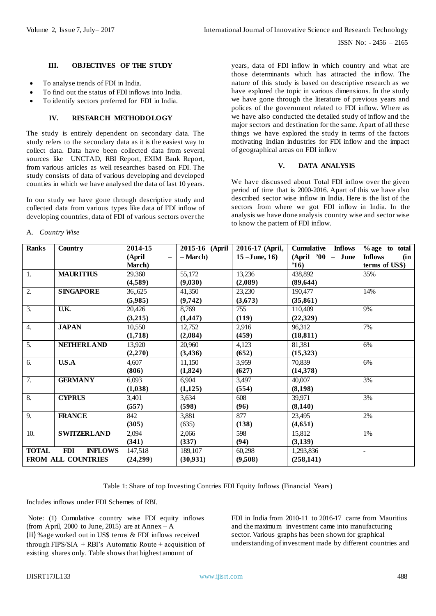## **III. OBJECTIVES OF THE STUDY**

- To analyse trends of FDI in India.
- To find out the status of FDI inflows into India.
- To identify sectors preferred for FDI in India.

# **IV. RESEARCH METHODOLOGY**

The study is entirely dependent on secondary data. The study refers to the secondary data as it is the easiest way to collect data. Data have been collected data from several sources like UNCTAD, RBI Report, EXIM Bank Report, from various articles as well researches based on FDI. The study consists of data of various developing and developed counties in which we have analysed the data of last 10 years.

In our study we have gone through descriptive study and collected data from various types like data of FDI inflow of developing countries, data of FDI of various sectors over the

A. *Country Wise*

years, data of FDI inflow in which country and what are those determinants which has attracted the inflow. The nature of this study is based on descriptive research as we have explored the topic in various dimensions. In the study we have gone through the literature of previous years and polices of the government related to FDI inflow. Where as we have also conducted the detailed study of inflow and the major sectors and destination for the same. Apart of all these things we have explored the study in terms of the factors motivating Indian industries for FDI inflow and the impact of geographical areas on FDI inflow

## **V. DATA ANALYSIS**

We have discussed about Total FDI inflow over the given period of time that is 2000-2016. Apart of this we have also described sector wise inflow in India. Here is the list of the sectors from where we got FDI inflow in India. In the analysis we have done analysis country wise and sector wise to know the pattern of FDI inflow.

| <b>Ranks</b>       | <b>Country</b>               | 2014-15                     | 2015-16 (April | 2016-17 (April, | Cumulative<br><b>Inflows</b> | % age to total        |
|--------------------|------------------------------|-----------------------------|----------------|-----------------|------------------------------|-----------------------|
|                    |                              | (April<br>$\qquad \qquad -$ | – March)       | $15 - June, 16$ | $(April' 00 - June$          | <b>Inflows</b><br>(in |
|                    |                              | March)                      |                |                 | '16)                         | terms of US\$)        |
| 1.                 | <b>MAURITIUS</b>             | 29.360                      | 55,172         | 13,236          | 438,892                      | 35%                   |
|                    |                              | (4,589)                     | (9,030)        | (2,089)         | (89, 644)                    |                       |
| $\overline{2}$ .   | <b>SINGAPORE</b>             | 36,,625                     | 41,350         | 23,230          | 190,477                      | 14%                   |
|                    |                              | (5,985)                     | (9, 742)       | (3,673)         | (35, 861)                    |                       |
| $\overline{3}$ .   | $\overline{UK}$              | 20,426                      | 8.769          | 755             | 110.409                      | 9%                    |
|                    |                              | (3,215)                     | (1, 447)       | (119)           | (22,329)                     |                       |
| $\overline{4}$ .   | <b>JAPAN</b>                 | 10,550                      | 12,752         | 2,916           | 96.312                       | 7%                    |
|                    |                              | (1,718)                     | (2,084)        | (459)           | (18, 811)                    |                       |
| 5.                 | <b>NETHERLAND</b>            | 13,920                      | 20,960         | 4,123           | 81,381                       | 6%                    |
|                    |                              | (2,270)                     | (3, 436)       | (652)           | (15,323)                     |                       |
| 6.                 | U.S.A                        | 4,607                       | 11,150         | 3,959           | 70,839                       | 6%                    |
|                    |                              | (806)                       | (1,824)        | (627)           | (14,378)                     |                       |
| 7.                 | <b>GERMANY</b>               | 6,093                       | 6,904          | 3,497           | 40,007                       | 3%                    |
|                    |                              | (1,038)                     | (1, 125)       | (554)           | (8,198)                      |                       |
| $\overline{8}$ .   | <b>CYPRUS</b>                | 3,401                       | 3,634          | 608             | 39,971                       | 3%                    |
|                    |                              | (557)                       | (598)          | (96)            | (8,140)                      |                       |
| 9.                 | <b>FRANCE</b>                | 842                         | 3,881          | 877             | 23,495                       | 2%                    |
|                    |                              | (305)                       | (635)          | (138)           | (4,651)                      |                       |
| 10.                | <b>SWITZERLAND</b>           | 2,094                       | 2,066          | 598             | 15,812                       | 1%                    |
|                    |                              | (341)                       | (337)          | (94)            | (3,139)                      |                       |
| <b>TOTAL</b>       | <b>INFLOWS</b><br><b>FDI</b> | 147,518                     | 189,107        | 60,298          | 1,293,836                    | $\overline{a}$        |
| FROM ALL COUNTRIES |                              | (24,299)                    | (30, 931)      | (9,508)         | (258, 141)                   |                       |

Table 1: Share of top Investing Contries FDI Equity Inflows (Financial Years)

Includes inflows under FDI Schemes of RBI.

Note: (1) Cumulative country wise FDI equity inflows (from April, 2000 to June, 2015) are at Annex – A (ii) %age worked out in US\$ terms & FDI inflows received through FIPS/SIA + RBI's Automatic Route + acquisition of existing shares only. Table shows that highest amount of

FDI in India from 2010-11 to 2016-17 came from Mauritius and the maximum investment came into manufacturing sector. Various graphs has been shown for graphical understanding of investment made by different countries and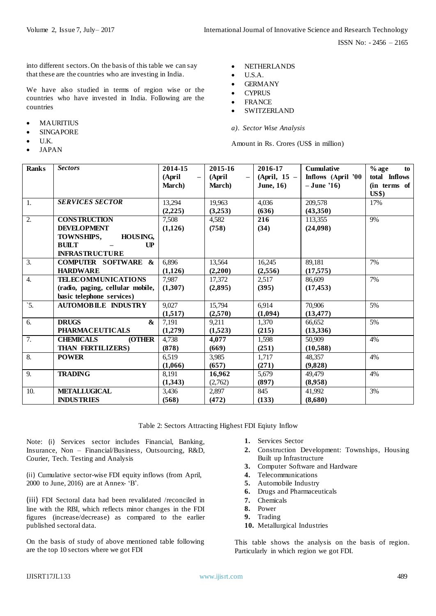ISSN No: - 2456 – 2165

into different sectors. On the basis of this table we can say that these are the countries who are investing in India.

We have also studied in terms of region wise or the countries who have invested in India. Following are the countries

- MAURITIUS
- SINGAPORE
- U.K.
- JAPAN
- NETHERLANDS
- U.S.A.
- GERMANY
- **CYPRUS**
- FRANCE
- SWITZERLAND
- *a). Sector Wise Analysis*

Amount in Rs. Crores (US\$ in million)

| <b>Ranks</b>     | <b>Sectors</b>                         | 2014-15 | 2015-16        | 2016-17        | <b>Cumulative</b>  | $%$ age<br>to |
|------------------|----------------------------------------|---------|----------------|----------------|--------------------|---------------|
|                  |                                        | (April  | (April         | $(April, 15 -$ | Inflows (April '00 | total Inflows |
|                  |                                        | March)  | <b>March</b> ) | June, $16)$    | $-June'16$         | (in terms of  |
|                  |                                        |         |                |                |                    | US\$)         |
| 1.               | <b>SERVICES SECTOR</b>                 | 13,294  | 19,963         | 4,036          | 209,578            | 17%           |
|                  |                                        | (2,225) | (3,253)        | (636)          | (43,350)           |               |
| 2.               | <b>CONSTRUCTION</b>                    | 7,508   | 4,582          | 216            | 113,355            | 9%            |
|                  | <b>DEVELOPMENT</b>                     | (1,126) | (758)          | (34)           | (24,098)           |               |
|                  | HOUSING,<br>TOWNSHIPS,                 |         |                |                |                    |               |
|                  | <b>BUILT</b><br>$\mathbf{U}\mathbf{P}$ |         |                |                |                    |               |
|                  | <b>INFRASTRUCTURE</b>                  |         |                |                |                    |               |
| 3.               | <b>COMPUTER SOFTWARE &amp;</b>         | 6,896   | 13,564         | 16,245         | 89,181             | 7%            |
|                  | <b>HARDWARE</b>                        | (1,126) | (2,200)        | (2,556)        | (17,575)           |               |
| $\overline{4}$ . | <b>TELECOMMUNICATIONS</b>              | 7.987   | 17,372         | 2,517          | 86,609             | 7%            |
|                  | (radio, paging, cellular mobile,       | (1,307) | (2,895)        | (395)          | (17, 453)          |               |
|                  | basic telephone services)              |         |                |                |                    |               |
| $\dot{5}$ .      | <b>AUTOMOBILE INDUSTRY</b>             | 9,027   | 15,794         | 6,914          | 70,906             | 5%            |
|                  |                                        | (1,517) | (2,570)        | (1,094)        | (13, 477)          |               |
| 6.               | <b>DRUGS</b><br>$\boldsymbol{\alpha}$  | 7,191   | 9,211          | 1,370          | 66.652             | 5%            |
|                  | <b>PHARMACEUTICALS</b>                 | (1,279) | (1,523)        | (215)          | (13,336)           |               |
| 7.               | <b>CHEMICALS</b><br><b>(OTHER</b>      | 4.738   | 4,077          | 1,598          | 50,909             | 4%            |
|                  | THAN FERTILIZERS)                      | (878)   | (669)          | (251)          | (10,588)           |               |
| 8.               | <b>POWER</b>                           | 6,519   | 3,985          | 1,717          | 48,357             | 4%            |
|                  |                                        | (1,066) | (657)          | (271)          | (9.828)            |               |
| 9.               | <b>TRADING</b>                         | 8,191   | 16,962         | 5,679          | 49,479             | 4%            |
|                  |                                        | (1,343) | (2,762)        | (897)          | (8,958)            |               |
| 10.              | <b>METALLUGICAL</b>                    | 3,436   | 2,897          | 845            | 41,992             | 3%            |
|                  | <b>INDUSTRIES</b>                      | (568)   | (472)          | (133)          | (8,680)            |               |

Table 2: Sectors Attracting Highest FDI Eqiuty Inflow

Note: (i) Services sector includes Financial, Banking, Insurance, Non – Financial/Business, Outsourcing, R&D, Courier, Tech. Testing and Analysis

(ii) Cumulative sector-wise FDI equity inflows (from April, 2000 to June, 2016) are at Annex- "B".

(iii) FDI Sectoral data had been revalidated /reconciled in line with the RBI, which reflects minor changes in the FDI figures (increase/decrease) as compared to the earlier published sectoral data.

On the basis of study of above mentioned table following are the top 10 sectors where we got FDI

- **1.** Services Sector
- **2.** Construction Development: Townships, Housing Built up Infrastructure
- **3.** Computer Software and Hardware
- **4.** Telecommunications
- **5.** Automobile Industry
- **6.** Drugs and Pharmaceuticals
- **7.** Chemicals
- **8.** Power
- **9.** Trading
- **10.** Metallurgical Industries

This table shows the analysis on the basis of region. Particularly in which region we got FDI.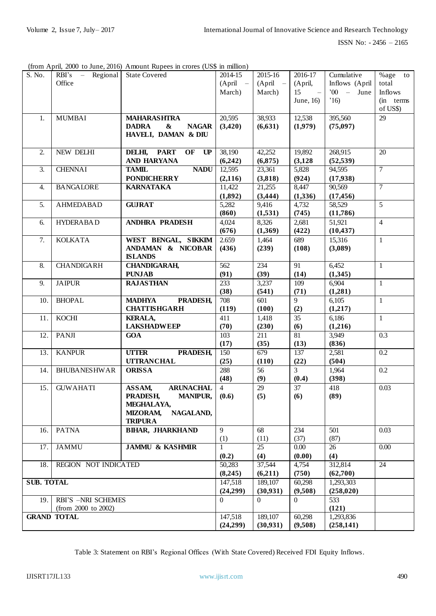ISSN No: - 2456 – 2165

(from April, 2000 to June, 2016) Amount Rupees in crores (US\$ in million)

| S. No.            | $RBI's - Regional$   | <b>State Covered</b>                              | 2014-15        | 2015-16         | 2016-17                  | Cumulative      | $\%$ age to       |
|-------------------|----------------------|---------------------------------------------------|----------------|-----------------|--------------------------|-----------------|-------------------|
|                   | Office               |                                                   | $(April -$     | $(April -$      | (April,                  | Inflows (April  | total             |
|                   |                      |                                                   | March)         | March)          | 15<br>$\sim$ $-$         | $'00 - June$    | Inflows           |
|                   |                      |                                                   |                |                 | June, 16)                | $^{\prime}16)$  | (in terms)        |
|                   |                      |                                                   |                |                 |                          |                 | of US\$)          |
| 1.                | <b>MUMBAI</b>        | <b>MAHARASHTRA</b>                                | 20,595         | 38,933          | 12,538                   | 395,560         | 29                |
|                   |                      | <b>DADRA</b><br>$\boldsymbol{\&}$<br><b>NAGAR</b> | (3,420)        | (6,631)         | (1,979)                  | (75,097)        |                   |
|                   |                      | HAVELI, DAMAN & DIU                               |                |                 |                          |                 |                   |
|                   |                      |                                                   |                |                 |                          |                 |                   |
| 2.                | NEW DELHI            | <b>PART</b><br>OF<br>UP<br>DELHI,                 | 38,190         | 42,252          | 19,892                   | 268,915         | 20                |
|                   |                      | AND HARYANA                                       | (6,242)        | (6,875)         | (3,128)                  | (52, 539)       |                   |
| $\overline{3}$ .  | <b>CHENNAI</b>       | <b>TAMIL</b><br><b>NADU</b>                       | 12,595         | 23,361          | 5,828                    | 94,595          | $\overline{7}$    |
|                   |                      | <b>PONDICHERRY</b>                                | (2,116)        | (3,818)         | (924)                    | (17,938)        |                   |
| 4.                | <b>BANGALORE</b>     | <b>KARNATAKA</b>                                  | 11,422         | 21,255          | 8,447                    | 90,569          | $\overline{7}$    |
|                   |                      |                                                   | (1,892)        | (3, 444)        | (1,336)                  | (17, 456)       |                   |
| 5.                | <b>AHMEDABAD</b>     | <b>GUJRAT</b>                                     | 5,282          | 9,416           | 4,732                    | 58,529          | 5                 |
|                   |                      |                                                   | (860)          | (1,531)         | (745)                    | (11,786)        |                   |
| 6.                | <b>HYDERABAD</b>     | <b>ANDHRA PRADESH</b>                             | 4,024          | 8,326           | 2,681                    | 51,921          | $\overline{4}$    |
|                   |                      |                                                   | (676)          | (1,369)         | (422)                    | (10, 437)       |                   |
| 7.                | <b>KOLKATA</b>       | WEST BENGAL, SIKKIM                               | 2.659          | 1,464           | 689                      | 15,316          | $\mathbf{1}$      |
|                   |                      | ANDAMAN & NICOBAR                                 | (436)          | (239)           | (108)                    | (3,089)         |                   |
|                   |                      | <b>ISLANDS</b>                                    |                |                 |                          |                 |                   |
| 8.                | <b>CHANDIGARH</b>    | <b>CHANDIGARAH,</b>                               | 562            | 234             | 91                       | 6,452           | $\mathbf{1}$      |
|                   |                      | <b>PUNJAB</b>                                     | (91)           | (39)            | (14)                     | (1,345)         |                   |
| 9.                | <b>JAIPUR</b>        | <b>RAJASTHAN</b>                                  | 233            | 3,237           | 109                      | 6,904           | $\mathbf{1}$      |
|                   |                      |                                                   | (38)           | (541)           | (71)                     | (1,281)         |                   |
| 10.               | <b>BHOPAL</b>        | <b>MADHYA</b><br>PRADESH,                         | 708            | 601             | 9                        | 6,105           | $\mathbf{1}$      |
|                   |                      | <b>CHATTISHGARH</b>                               | (119)          | (100)           | (2)                      | (1,217)         |                   |
| 11.               | <b>KOCHI</b>         | <b>KERALA,</b>                                    | 411            | 1,418           | 35                       | 6,186           | $\mathbf{1}$      |
|                   |                      | <b>LAKSHADWEEP</b>                                | (70)           | (230)           | (6)                      | (1,216)         |                   |
| 12.               | <b>PANJI</b>         | <b>GOA</b>                                        | 103            | 211<br>(35)     | 81                       | 3,949<br>(836)  | 0.3               |
| 13.               | <b>KANPUR</b>        | <b>UTTER</b><br>PRADESH,                          | (17)<br>150    | 679             | (13)<br>$\overline{137}$ | 2,581           | 0.2               |
|                   |                      | <b>UTTRANCHAL</b>                                 | (25)           | (110)           | (22)                     | (504)           |                   |
| 14.               | <b>BHUBANESHWAR</b>  | <b>ORISSA</b>                                     | 288            | 56              | $\overline{3}$           | 1,964           | 0.2               |
|                   |                      |                                                   | (48)           | (9)             | (0.4)                    | (398)           |                   |
| 15.               | <b>GUWAHATI</b>      | ASSAM,<br><b>ARUNACHAL</b>                        | $\overline{4}$ | 29              | 37                       | 418             | 0.03              |
|                   |                      | PRADESH,<br><b>MANIPUR,</b>                       | (0.6)          | (5)             | (6)                      | (89)            |                   |
|                   |                      | MEGHALAYA,                                        |                |                 |                          |                 |                   |
|                   |                      | <b>MIZORAM,</b><br>NAGALAND,                      |                |                 |                          |                 |                   |
|                   |                      | <b>TRIPURA</b>                                    |                |                 |                          |                 |                   |
| 16.               | <b>PATNA</b>         | <b>BIHAR, JHARKHAND</b>                           | 9              | 68              | 234                      | 501             | 0.03              |
|                   |                      |                                                   | (1)            | (11)            | (37)                     | (87)            |                   |
| 17.               | <b>JAMMU</b>         | <b>JAMMU &amp; KASHMIR</b>                        | 1              | $\overline{25}$ | $\overline{0.00}$        | $\overline{26}$ | $\overline{0.00}$ |
|                   |                      |                                                   | (0.2)          | (4)             | (0.00)                   | (4)             |                   |
| 18.               | REGION NOT INDICATED |                                                   | 50,283         | 37,544          | 4,754                    | 312,814         | 24                |
|                   |                      |                                                   | (8,245)        | (6,211)         | (750)                    | (62,700)        |                   |
| <b>SUB. TOTAL</b> |                      |                                                   | 147,518        | 189,107         | 60,298                   | 1,293,303       |                   |
|                   |                      |                                                   | (24,299)       | (30, 931)       | (9,508)                  | (258, 020)      |                   |
| 19.               | RBI'S -NRI SCHEMES   |                                                   | $\Omega$       | $\Omega$        | $\Omega$                 | 533             |                   |
|                   | (from 2000 to 2002)  |                                                   |                |                 |                          | (121)           |                   |
|                   | <b>GRAND TOTAL</b>   |                                                   | 147,518        | 189,107         | 60,298                   | 1,293,836       |                   |
|                   |                      |                                                   | (24,299)       | (30, 931)       | (9,508)                  | (258, 141)      |                   |

Table 3: Statement on RBI"s Regional Offices (With State Covered) Received FDI Equity Inflows.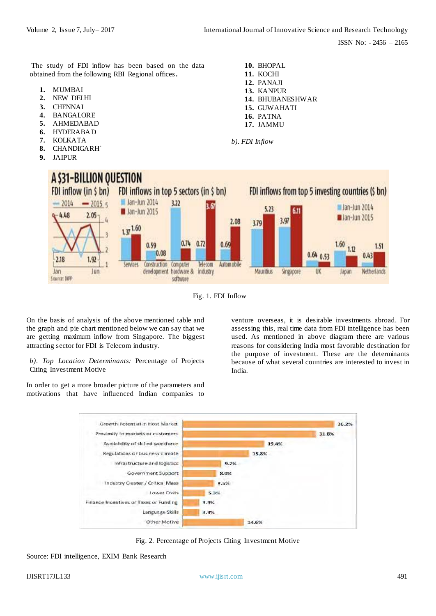The study of FDI inflow has been based on the data obtained from the following RBI Regional offices**.** 

- **1.** MUMBAI
- **2.** NEW DELHI
- **3.** CHENNAI
- **4.** BANGALORE
- **5.** AHMEDABAD
- **6.** HYDERABAD
- **7.** KOLKATA
- **8.** CHANDIGARH`
- **9.** JAIPUR

**10.** BHOPAL **11.** KOCHI **12.** PANAJI **13.** KANPUR **14.** BHUBANESHWAR **15.** GUWAHATI **16.** PATNA **17.** JAMMU

*b). FDI Inflow*



Fig. 1. FDI Inflow

On the basis of analysis of the above mentioned table and the graph and pie chart mentioned below we can say that we are getting maximum inflow from Singapore. The biggest attracting sector for FDI is Telecom industry.

*b). Top Location Determinants:* Percentage of Projects Citing Investment Motive

In order to get a more broader picture of the parameters and motivations that have influenced Indian companies to venture overseas, it is desirable investments abroad. For assessing this, real time data from FDI intelligence has been used. As mentioned in above diagram there are various reasons for considering India most favorable destination for the purpose of investment. These are the determinants because of what several countries are interested to invest in India.



Fig. 2. Percentage of Projects Citing Investment Motive

Source: FDI intelligence, EXIM Bank Research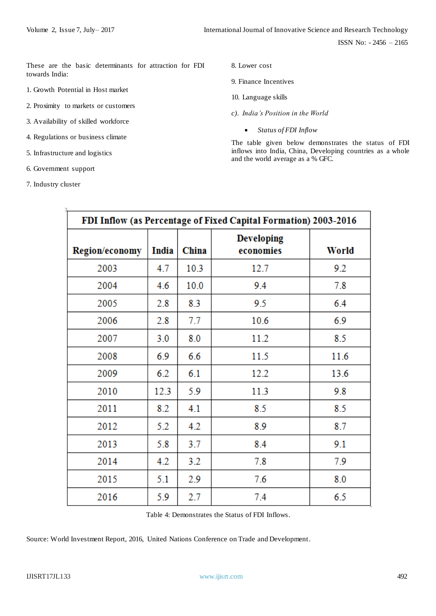These are the basic determinants for attraction for FDI towards India:

- 1. Growth Potential in Host market
- 2. Proximity to markets or customers
- 3. Availability of skilled workforce
- 4. Regulations or business climate
- 5. Infrastructure and logistics
- 6. Government support
- 7. Industry cluster
- 8. Lower cost
- 9. Finance Incentives
- 10. Language skills
- *c). India's Position in the World*
	- *Status of FDI Inflow*

The table given below demonstrates the status of FDI inflows into India, China, Developing countries as a whole and the world average as a % GFC.

| FDI Inflow (as Percentage of Fixed Capital Formation) 2003-2016 |       |       |                                |       |  |  |
|-----------------------------------------------------------------|-------|-------|--------------------------------|-------|--|--|
| Region/economy                                                  | India | China | <b>Developing</b><br>economies | World |  |  |
| 2003                                                            | 4.7   | 10.3  | 12.7                           | 9.2   |  |  |
| 2004                                                            | 4.6   | 10.0  | 9.4                            | 7.8   |  |  |
| 2005                                                            | 2.8   | 8.3   | 9.5                            | 6.4   |  |  |
| 2006                                                            | 2.8   | 7.7   | 10.6                           | 6.9   |  |  |
| 2007                                                            | 3.0   | 8.0   | 11.2                           | 8.5   |  |  |
| 2008                                                            | 6.9   | 6.6   | 11.5                           | 11.6  |  |  |
| 2009                                                            | 6.2   | 6.1   | 12.2                           | 13.6  |  |  |
| 2010                                                            | 12.3  | 5.9   | 11.3                           | 9.8   |  |  |
| 2011                                                            | 8.2   | 4.1   | 8.5                            | 8.5   |  |  |
| 2012                                                            | 5.2   | 4.2   | 8.9                            | 8.7   |  |  |
| 2013                                                            | 5.8   | 3.7   | 8.4                            | 9.1   |  |  |
| 2014                                                            | 4.2   | 3.2   | 7.8                            | 7.9   |  |  |
| 2015                                                            | 5.1   | 2.9   | 7.6                            | 8.0   |  |  |
| 2016                                                            | 5.9   | 2.7   | 7.4                            | 6.5   |  |  |

Table 4: Demonstrates the Status of FDI Inflows.

Source: World Investment Report, 2016, United Nations Conference on Trade and Development.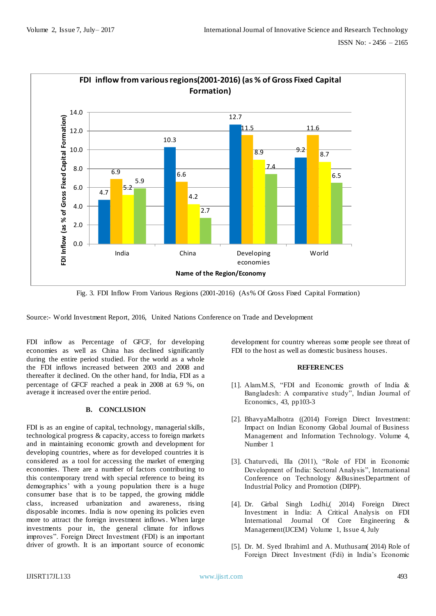

Fig. 3. FDI Inflow From Various Regions (2001-2016) (As% Of Gross Fixed Capital Formation)

Source:- World Investment Report, 2016, United Nations Conference on Trade and Development

FDI inflow as Percentage of GFCF, for developing economies as well as China has declined significantly during the entire period studied. For the world as a whole the FDI inflows increased between 2003 and 2008 and thereafter it declined. On the other hand, for India, FDI as a percentage of GFCF reached a peak in 2008 at 6.9 %, on average it increased over the entire period.

# **B. CONCLUSION**

FDI is as an engine of capital, technology, managerial skills, technological progress & capacity, access to foreign markets and in maintaining economic growth and development for developing countries, where as for developed countries it is considered as a tool for accessing the market of emerging economies. There are a number of factors contributing to this contemporary trend with special reference to being its demographics" with a young population there is a huge consumer base that is to be tapped, the growing middle class, increased urbanization and awareness, rising disposable incomes. India is now opening its policies even more to attract the foreign investment inflows. When large investments pour in, the general climate for inflows improves". Foreign Direct Investment (FDI) is an important driver of growth. It is an important source of economic

development for country whereas some people see threat of FDI to the host as well as domestic business houses.

#### **REFERENCES**

- [1]. Alam.M.S, "FDI and Economic growth of India & Bangladesh: A comparative study", Indian Journal of Economics, 43, pp103-3
- [2]. BhavyaMalhotra ((2014) Foreign Direct Investment: Impact on Indian Economy Global Journal of Business Management and Information Technology. Volume 4, Number 1
- [3]. Chaturvedi, Illa (2011), "Role of FDI in Economic Development of India: Sectoral Analysis", International Conference on Technology &BusinesDepartment of Industrial Policy and Promotion (DIPP).
- [4]. Dr. Girbal Singh Lodhi,( 2014) Foreign Direct Investment in India: A Critical Analysis on FDI International Journal Of Core Engineering & Management(IJCEM) Volume 1, Issue 4, July
- [5]. Dr. M. Syed Ibrahim1 and A. Muthusam( 2014) Role of Foreign Direct Investment (Fdi) in India"s Economic